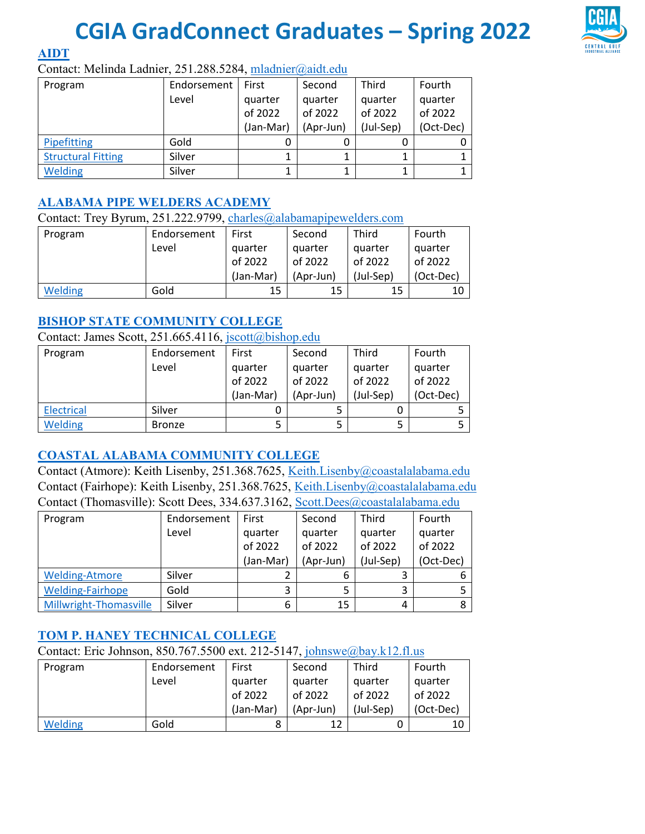# **CGIA GradConnect Graduates – Spring 2022**



**[AIDT](https://maritime.aidt.edu/)**

#### Contact: Melinda Ladnier, 251.288.5284, [mladnier@aidt.edu](mailto:mladnier@aidt.edu)

| Program                   | Endorsement | First     | Second    | Third     | Fourth    |
|---------------------------|-------------|-----------|-----------|-----------|-----------|
|                           | Level       | quarter   | quarter   | quarter   | quarter   |
|                           |             | of 2022   | of 2022   | of 2022   | of 2022   |
|                           |             | (Jan-Mar) | (Apr-Jun) | (Jul-Sep) | (Oct-Dec) |
| Pipefitting               | Gold        |           |           |           |           |
| <b>Structural Fitting</b> | Silver      |           |           |           |           |
| <b>Welding</b>            | Silver      |           |           |           |           |

#### **[ALABAMA PIPE WELDERS ACADEMY](http://www.alabamapipewelders.com/)**

Contact: Trey Byrum, 251.222.9799, [charles@alabamapipewelders.com](mailto:charles@alabamapipewelders.com)

| Program        | Endorsement | First     | Second    | <b>Third</b> | Fourth    |
|----------------|-------------|-----------|-----------|--------------|-----------|
|                | Level       | quarter   | quarter   | quarter      | quarter   |
|                |             | of 2022   | of 2022   | of 2022      | of 2022   |
|                |             | (Jan-Mar) | (Apr-Jun) | (Jul-Sep)    | (Oct-Dec) |
| <b>Welding</b> | Gold        | 15        | 15        | 15           | 10        |

#### **[BISHOP STATE COMMUNITY COLLEGE](https://www.bishop.edu/)**

Contact: James Scott, 251.665.4116, [jscott@bishop.edu](mailto:jscott@bishop.edu) 

| Program           | Endorsement   | First     | Second    | Third     | Fourth    |
|-------------------|---------------|-----------|-----------|-----------|-----------|
|                   | Level         | quarter   | quarter   | quarter   | quarter   |
|                   |               | of 2022   | of 2022   | of 2022   | of 2022   |
|                   |               | (Jan-Mar) | (Apr-Jun) | (Jul-Sep) | (Oct-Dec) |
| <b>Electrical</b> | Silver        |           |           |           |           |
| <b>Welding</b>    | <b>Bronze</b> |           | 5         |           |           |

#### **[COASTAL ALABAMA COMMUNITY COLLEGE](http://www.coastalalabama.edu/)**

Contact (Atmore): Keith Lisenby, 251.368.7625, [Keith.Lisenby@coastalalabama.edu](mailto:Keith.Lisenby@coastalalabama.edu) Contact (Fairhope): Keith Lisenby, 251.368.7625, [Keith.Lisenby@coastalalabama.edu](mailto:Keith.Lisenby@coastalalabama.edu) Contact (Thomasville): Scott Dees, 334.637.3162, [Scott.Dees@coastalalabama.edu](mailto:Scott.Dees@coastalalabama.edu)

| Program                 | Endorsement | First     | Second    | Third     | Fourth    |
|-------------------------|-------------|-----------|-----------|-----------|-----------|
|                         | Level       | quarter   | quarter   | quarter   | quarter   |
|                         |             | of 2022   | of 2022   | of 2022   | of 2022   |
|                         |             | (Jan-Mar) | (Apr-Jun) | (Jul-Sep) | (Oct-Dec) |
| <b>Welding-Atmore</b>   | Silver      |           | 6         |           |           |
| <b>Welding-Fairhope</b> | Gold        | 3         |           |           |           |
| Millwright-Thomasville  | Silver      | 6         | 15        | 4         |           |

#### **[TOM P. HANEY TECHNICAL COLLEGE](http://haney.edu/)**

Contact: Eric Johnson, 850.767.5500 ext. 212-5147, [johnswe@bay.k12.fl.us](mailto:johnswe@bay.k12.fl.us)

| Program | Endorsement | First     | Second    | Third     | Fourth    |
|---------|-------------|-----------|-----------|-----------|-----------|
|         | Level       | quarter   | quarter   | quarter   | quarter   |
|         |             | of 2022   | of 2022   | of 2022   | of 2022   |
|         |             | (Jan-Mar) | (Apr-Jun) | (Jul-Sep) | (Oct-Dec) |
| Welding | Gold        |           | 12        |           | 10        |